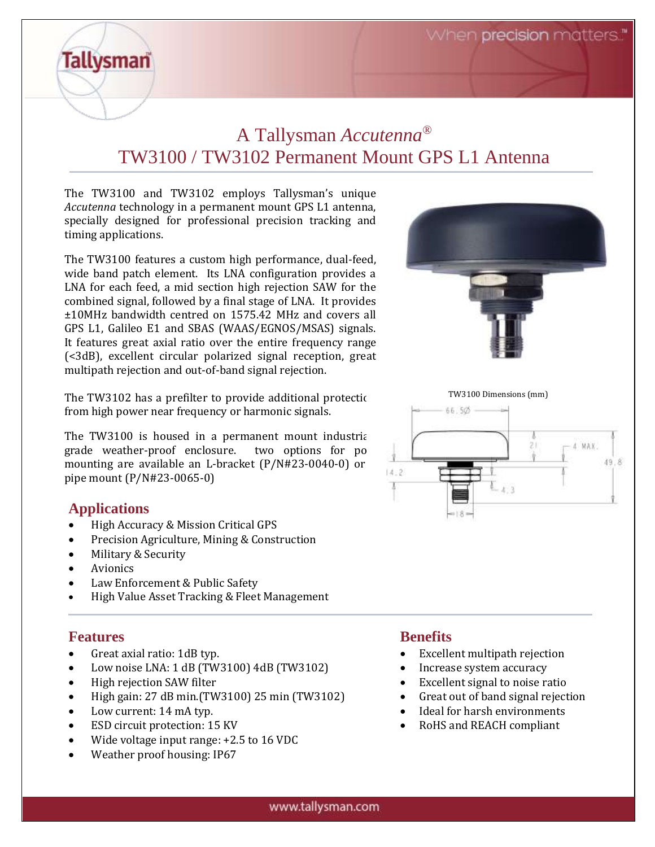When precision matters.

## A Tallysman *Accutenna®* TW3100 / TW3102 Permanent Mount GPS L1 Antenna

The TW3100 and TW3102 employs Tallysman's unique *Accutenna* technology in a permanent mount GPS L1 antenna, specially designed for professional precision tracking and timing applications.

The TW3100 features a custom high performance, dual-feed, wide band patch element. Its LNA configuration provides a LNA for each feed, a mid section high rejection SAW for the combined signal, followed by a final stage of LNA. It provides ±10MHz bandwidth centred on 1575.42 MHz and covers all GPS L1, Galileo E1 and SBAS (WAAS/EGNOS/MSAS) signals. It features great axial ratio over the entire frequency range (<3dB), excellent circular polarized signal reception, great multipath rejection and out-of-band signal rejection.

The TW3102 has a prefilter to provide additional protection from high power near frequency or harmonic signals.

The TW3100 is housed in a permanent mount industrialgrade weather-proof enclosure. two options for po mounting are available an L-bracket  $(P/N#23-0040-0)$  or pipe mount (P/N#23-0065-0)

### **Applications**

**Tallysman** 

- High Accuracy & Mission Critical GPS
- Precision Agriculture, Mining & Construction
- Military & Security
- Avionics
- Law Enforcement & Public Safety
- High Value Asset Tracking & Fleet Management

### **Features**

- Great axial ratio: 1dB typ.
- Low noise LNA: 1 dB (TW3100) 4dB (TW3102)
- High rejection SAW filter
- High gain:  $27$  dB min.(TW3100)  $25$  min (TW3102)
- Low current: 14 mA typ.
- ESD circuit protection: 15 KV
- Wide voltage input range: +2.5 to 16 VDC
- Weather proof housing: IP67





## **Benefits**

- Excellent multipath rejection
- Increase system accuracy
- Excellent signal to noise ratio
- Great out of band signal rejection
- Ideal for harsh environments
- RoHS and REACH compliant